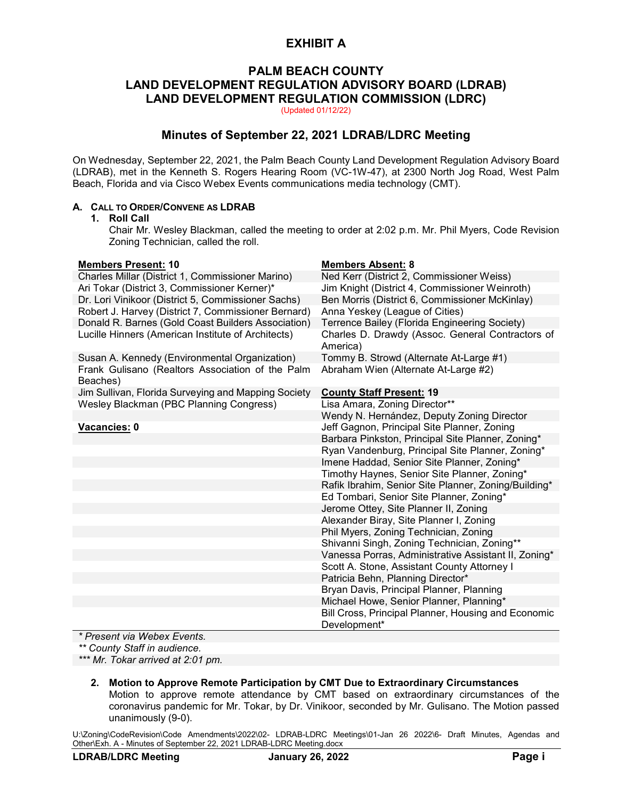# **PALM BEACH COUNTY LAND DEVELOPMENT REGULATION ADVISORY BOARD (LDRAB) LAND DEVELOPMENT REGULATION COMMISSION (LDRC)**

(Updated 01/12/22)

# **Minutes of September 22, 2021 LDRAB/LDRC Meeting**

On Wednesday, September 22, 2021, the Palm Beach County Land Development Regulation Advisory Board (LDRAB), met in the Kenneth S. Rogers Hearing Room (VC-1W-47), at 2300 North Jog Road, West Palm Beach, Florida and via Cisco Webex Events communications media technology (CMT).

# **A. CALL TO ORDER/CONVENE AS LDRAB**

## **1. Roll Call**

Chair Mr. Wesley Blackman, called the meeting to order at 2:02 p.m. Mr. Phil Myers, Code Revision Zoning Technician, called the roll.

| <b>Members Present: 10</b>                                   | <b>Members Absent: 8</b>                                     |
|--------------------------------------------------------------|--------------------------------------------------------------|
| Charles Millar (District 1, Commissioner Marino)             | Ned Kerr (District 2, Commissioner Weiss)                    |
| Ari Tokar (District 3, Commissioner Kerner)*                 | Jim Knight (District 4, Commissioner Weinroth)               |
| Dr. Lori Vinikoor (District 5, Commissioner Sachs)           | Ben Morris (District 6, Commissioner McKinlay)               |
| Robert J. Harvey (District 7, Commissioner Bernard)          | Anna Yeskey (League of Cities)                               |
| Donald R. Barnes (Gold Coast Builders Association)           | Terrence Bailey (Florida Engineering Society)                |
| Lucille Hinners (American Institute of Architects)           | Charles D. Drawdy (Assoc. General Contractors of<br>America) |
| Susan A. Kennedy (Environmental Organization)                | Tommy B. Strowd (Alternate At-Large #1)                      |
| Frank Gulisano (Realtors Association of the Palm<br>Beaches) | Abraham Wien (Alternate At-Large #2)                         |
| Jim Sullivan, Florida Surveying and Mapping Society          | <b>County Staff Present: 19</b>                              |
| Wesley Blackman (PBC Planning Congress)                      | Lisa Amara, Zoning Director**                                |
|                                                              | Wendy N. Hernández, Deputy Zoning Director                   |
| Vacancies: 0                                                 | Jeff Gagnon, Principal Site Planner, Zoning                  |
|                                                              | Barbara Pinkston, Principal Site Planner, Zoning*            |
|                                                              | Ryan Vandenburg, Principal Site Planner, Zoning*             |
|                                                              | Imene Haddad, Senior Site Planner, Zoning*                   |
|                                                              | Timothy Haynes, Senior Site Planner, Zoning*                 |
|                                                              | Rafik Ibrahim, Senior Site Planner, Zoning/Building*         |
|                                                              | Ed Tombari, Senior Site Planner, Zoning*                     |
|                                                              | Jerome Ottey, Site Planner II, Zoning                        |
|                                                              | Alexander Biray, Site Planner I, Zoning                      |
|                                                              | Phil Myers, Zoning Technician, Zoning                        |
|                                                              | Shivanni Singh, Zoning Technician, Zoning**                  |
|                                                              | Vanessa Porras, Administrative Assistant II, Zoning*         |
|                                                              | Scott A. Stone, Assistant County Attorney I                  |
|                                                              | Patricia Behn, Planning Director*                            |
|                                                              | Bryan Davis, Principal Planner, Planning                     |
|                                                              | Michael Howe, Senior Planner, Planning*                      |
|                                                              | Bill Cross, Principal Planner, Housing and Economic          |
|                                                              | Development*                                                 |

*\* Present via Webex Events.*

*\*\* County Staff in audience.*

*\*\*\* Mr. Tokar arrived at 2:01 pm.*

**2. Motion to Approve Remote Participation by CMT Due to Extraordinary Circumstances** Motion to approve remote attendance by CMT based on extraordinary circumstances of the coronavirus pandemic for Mr. Tokar, by Dr. Vinikoor, seconded by Mr. Gulisano. The Motion passed unanimously (9-0).

U:\Zoning\CodeRevision\Code Amendments\2022\02- LDRAB-LDRC Meetings\01-Jan 26 2022\6- Draft Minutes, Agendas and Other\Exh. A - Minutes of September 22, 2021 LDRAB-LDRC Meeting.docx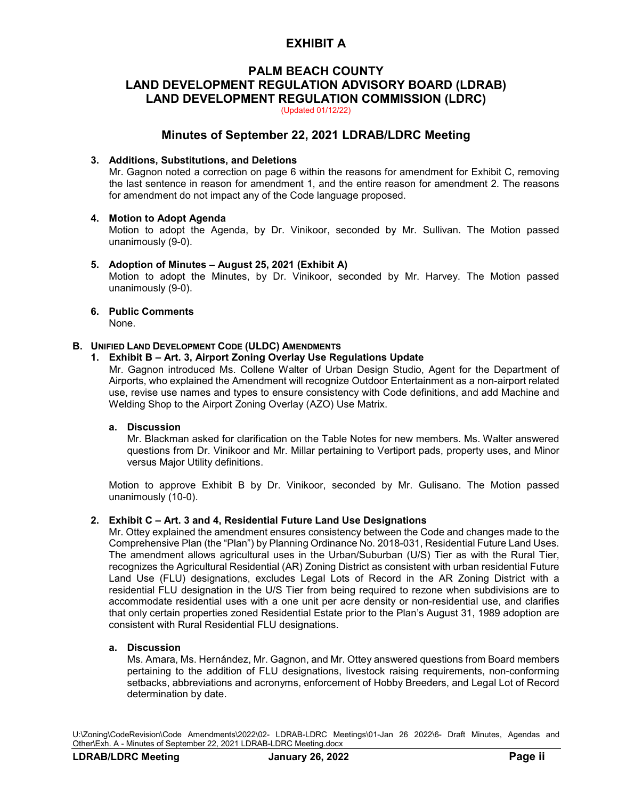# **PALM BEACH COUNTY LAND DEVELOPMENT REGULATION ADVISORY BOARD (LDRAB) LAND DEVELOPMENT REGULATION COMMISSION (LDRC)**

(Updated 01/12/22)

# **Minutes of September 22, 2021 LDRAB/LDRC Meeting**

## **3. Additions, Substitutions, and Deletions**

Mr. Gagnon noted a correction on page 6 within the reasons for amendment for Exhibit C, removing the last sentence in reason for amendment 1, and the entire reason for amendment 2. The reasons for amendment do not impact any of the Code language proposed.

### **4. Motion to Adopt Agenda**

Motion to adopt the Agenda, by Dr. Vinikoor, seconded by Mr. Sullivan. The Motion passed unanimously (9-0).

### **5. Adoption of Minutes – August 25, 2021 (Exhibit A)**

Motion to adopt the Minutes, by Dr. Vinikoor, seconded by Mr. Harvey. The Motion passed unanimously (9-0).

# **6. Public Comments**

None.

## **B. UNIFIED LAND DEVELOPMENT CODE (ULDC) AMENDMENTS**

## **1. Exhibit B – Art. 3, Airport Zoning Overlay Use Regulations Update**

Mr. Gagnon introduced Ms. Collene Walter of Urban Design Studio, Agent for the Department of Airports, who explained the Amendment will recognize Outdoor Entertainment as a non-airport related use, revise use names and types to ensure consistency with Code definitions, and add Machine and Welding Shop to the Airport Zoning Overlay (AZO) Use Matrix.

## **a. Discussion**

Mr. Blackman asked for clarification on the Table Notes for new members. Ms. Walter answered questions from Dr. Vinikoor and Mr. Millar pertaining to Vertiport pads, property uses, and Minor versus Major Utility definitions.

Motion to approve Exhibit B by Dr. Vinikoor, seconded by Mr. Gulisano. The Motion passed unanimously (10-0).

## **2. Exhibit C – Art. 3 and 4, Residential Future Land Use Designations**

Mr. Ottey explained the amendment ensures consistency between the Code and changes made to the Comprehensive Plan (the "Plan") by Planning Ordinance No. 2018-031, Residential Future Land Uses. The amendment allows agricultural uses in the Urban/Suburban (U/S) Tier as with the Rural Tier, recognizes the Agricultural Residential (AR) Zoning District as consistent with urban residential Future Land Use (FLU) designations, excludes Legal Lots of Record in the AR Zoning District with a residential FLU designation in the U/S Tier from being required to rezone when subdivisions are to accommodate residential uses with a one unit per acre density or non-residential use, and clarifies that only certain properties zoned Residential Estate prior to the Plan's August 31, 1989 adoption are consistent with Rural Residential FLU designations.

## **a. Discussion**

Ms. Amara, Ms. Hernández, Mr. Gagnon, and Mr. Ottey answered questions from Board members pertaining to the addition of FLU designations, livestock raising requirements, non-conforming setbacks, abbreviations and acronyms, enforcement of Hobby Breeders, and Legal Lot of Record determination by date.

U:\Zoning\CodeRevision\Code Amendments\2022\02- LDRAB-LDRC Meetings\01-Jan 26 2022\6- Draft Minutes, Agendas and Other\Exh. A - Minutes of September 22, 2021 LDRAB-LDRC Meeting.docx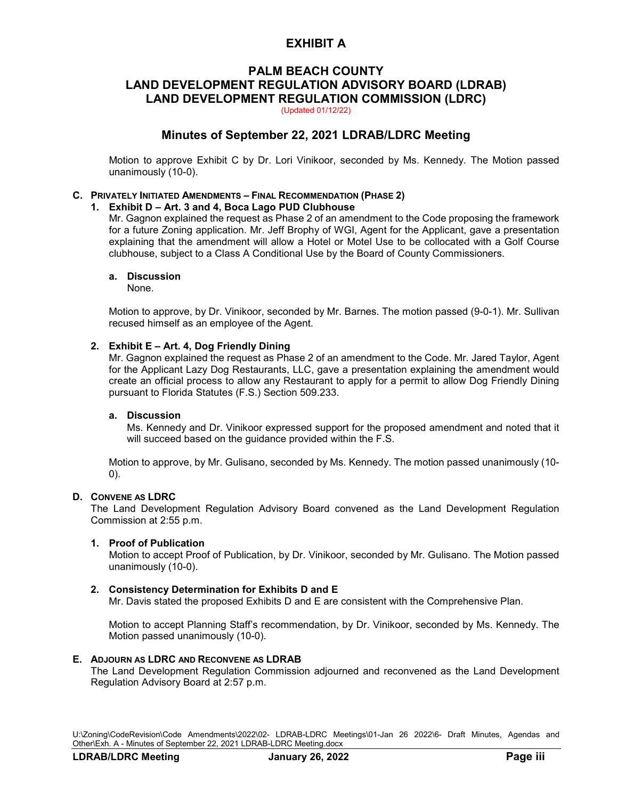# **PALM BEACH COUNTY LAND DEVELOPMENT REGULATION ADVISORY BOARD (LDRAB) LAND DEVELOPMENT REGULATION COMMISSION (LDRC)**

(Updated 01/12/22)

# **Minutes of September 22, 2021 LDRAB/LDRC Meeting**

Motion to approve Exhibit C by Dr. Lori Vinikoor, seconded by Ms. Kennedy. The Motion passed unanimously (10-0).

### **C. PRIVATELY INITIATED AMENDMENTS – FINAL RECOMMENDATION (PHASE 2)**

### **1. Exhibit D – Art. 3 and 4, Boca Lago PUD Clubhouse**

Mr. Gagnon explained the request as Phase 2 of an amendment to the Code proposing the framework for a future Zoning application. Mr. Jeff Brophy of WGI, Agent for the Applicant, gave a presentation explaining that the amendment will allow a Hotel or Motel Use to be collocated with a Golf Course clubhouse, subject to a Class A Conditional Use by the Board of County Commissioners.

### **a. Discussion**

None.

Motion to approve, by Dr. Vinikoor, seconded by Mr. Barnes. The motion passed (9-0-1). Mr. Sullivan recused himself as an employee of the Agent.

## **2. Exhibit E – Art. 4, Dog Friendly Dining**

Mr. Gagnon explained the request as Phase 2 of an amendment to the Code. Mr. Jared Taylor, Agent for the Applicant Lazy Dog Restaurants, LLC, gave a presentation explaining the amendment would create an official process to allow any Restaurant to apply for a permit to allow Dog Friendly Dining pursuant to Florida Statutes (F.S.) Section 509.233.

## **a. Discussion**

Ms. Kennedy and Dr. Vinikoor expressed support for the proposed amendment and noted that it will succeed based on the guidance provided within the F.S.

Motion to approve, by Mr. Gulisano, seconded by Ms. Kennedy. The motion passed unanimously (10- 0).

## **D. CONVENE AS LDRC**

The Land Development Regulation Advisory Board convened as the Land Development Regulation Commission at 2:55 p.m.

#### **1. Proof of Publication**

Motion to accept Proof of Publication, by Dr. Vinikoor, seconded by Mr. Gulisano. The Motion passed unanimously (10-0).

### **2. Consistency Determination for Exhibits D and E**

Mr. Davis stated the proposed Exhibits D and E are consistent with the Comprehensive Plan.

Motion to accept Planning Staff's recommendation, by Dr. Vinikoor, seconded by Ms. Kennedy. The Motion passed unanimously (10-0).

#### **E. ADJOURN AS LDRC AND RECONVENE AS LDRAB**

The Land Development Regulation Commission adjourned and reconvened as the Land Development Regulation Advisory Board at 2:57 p.m.